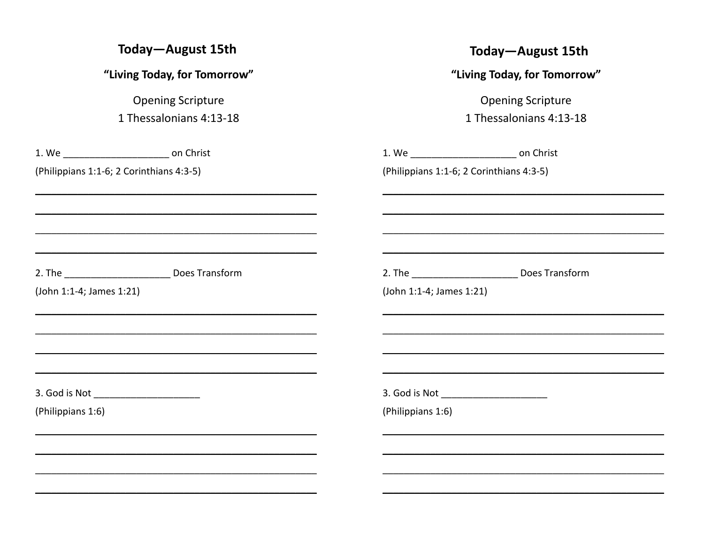| Today-August 15th                                 | Today-August 15th                                 |
|---------------------------------------------------|---------------------------------------------------|
| "Living Today, for Tomorrow"                      | "Living Today, for Tomorrow"                      |
| <b>Opening Scripture</b>                          | <b>Opening Scripture</b>                          |
| 1 Thessalonians 4:13-18                           | 1 Thessalonians 4:13-18                           |
| 1. We _________________________________ on Christ | 1. We _________________________________ on Christ |
| (Philippians 1:1-6; 2 Corinthians 4:3-5)          | (Philippians 1:1-6; 2 Corinthians 4:3-5)          |
|                                                   |                                                   |
| 2. The Does Transform                             | 2. The Does Transform                             |
| (John 1:1-4; James 1:21)                          | (John 1:1-4; James 1:21)                          |
|                                                   |                                                   |
| 3. God is Not ________________________            |                                                   |
| (Philippians 1:6)                                 | (Philippians 1:6)                                 |
|                                                   |                                                   |
|                                                   |                                                   |